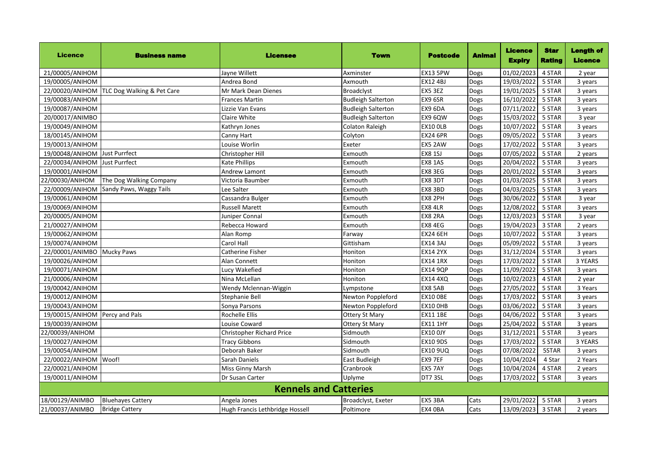| <b>Licence</b>                 | <b>Business name</b>                       | <b>Licensee</b>                  | <b>Town</b>               | <b>Postcode</b> | <b>Animal</b> | Licence<br><b>Expiry</b> | <b>Star</b><br><b>Rating</b> | <b>Length of</b><br><b>Licence</b> |
|--------------------------------|--------------------------------------------|----------------------------------|---------------------------|-----------------|---------------|--------------------------|------------------------------|------------------------------------|
| 21/00005/ANIHOM                |                                            | Jayne Willett                    | Axminster                 | <b>EX13 5PW</b> | Dogs          | 01/02/2023               | 4 STAR                       | 2 year                             |
| 19/00005/ANIHOM                |                                            | Andrea Bond                      | Axmouth                   | <b>EX12 4BJ</b> | Dogs          | 19/03/2022               | 5 STAR                       | 3 years                            |
|                                | 22/00020/ANIHOM TLC Dog Walking & Pet Care | Mr Mark Dean Dienes              | Broadclyst                | EX5 3EZ         | Dogs          | 19/01/2025               | 5 STAR                       | 3 years                            |
| 19/00083/ANIHOM                |                                            | <b>Frances Martin</b>            | <b>Budleigh Salterton</b> | EX9 6SR         | Dogs          | 16/10/2022               | 5 STAR                       | 3 years                            |
| 19/00087/ANIHOM                |                                            | Lizzie Van Evans                 | <b>Budleigh Salterton</b> | EX9 6DA         | Dogs          | 07/11/2022               | 5 STAR                       | 3 years                            |
| 20/00017/ANIMBO                |                                            | Claire White                     | <b>Budleigh Salterton</b> | EX9 6QW         | Dogs          | 15/03/2022               | 5 STAR                       | 3 year                             |
| 19/00049/ANIHOM                |                                            | Kathryn Jones                    | Colaton Raleigh           | <b>EX10 OLB</b> | Dogs          | 10/07/2022               | 5 STAR                       | 3 years                            |
| 18/00145/ANIHOM                |                                            | Canny Hart                       | Colyton                   | <b>EX24 6PR</b> | Dogs          | 09/05/2022               | 5 STAR                       | 3 years                            |
| 19/00013/ANIHOM                |                                            | Louise Worlin                    | Exeter                    | EX5 2AW         | Dogs          | 17/02/2022               | 5 STAR                       | 3 years                            |
| 19/00048/ANIHOM                | Just Purrfect                              | <b>Christopher Hill</b>          | Exmouth                   | <b>EX8 1SJ</b>  | Dogs          | 07/05/2022               | 5 STAR                       | 2 years                            |
| 22/00034/ANIHOM                | <b>Just Purrfect</b>                       | <b>Kate Phillips</b>             | Exmouth                   | <b>EX8 1AS</b>  | Dogs          | 20/04/2022               | 5 STAR                       | 3 years                            |
| 19/00001/ANIHOM                |                                            | Andrew Lamont                    | Exmouth                   | EX8 3EG         | Dogs          | 20/01/2022               | 5 STAR                       | 3 years                            |
| 22/00030/ANIHOM                | The Dog Walking Company                    | Victoria Baumber                 | Exmouth                   | EX8 3DT         | Dogs          | 01/03/2025               | 5 STAR                       | 3 years                            |
| 22/00009/ANIHOM                | Sandy Paws, Waggy Tails                    | Lee Salter                       | Exmouth                   | EX8 3BD         | Dogs          | 04/03/2025               | 5 STAR                       | 3 years                            |
| 19/00061/ANIHOM                |                                            | Cassandra Bulger                 | Exmouth                   | EX8 2PH         | Dogs          | 30/06/2022               | 5 STAR                       | 3 year                             |
| 19/00069/ANIHOM                |                                            | <b>Russell Marett</b>            | Exmouth                   | <b>EX8 4LR</b>  | Dogs          | 12/08/2022               | 5 STAR                       | 3 years                            |
| 20/00005/ANIHOM                |                                            | Juniper Connal                   | Exmouth                   | EX8 2RA         | Dogs          | 12/03/2023               | 5 STAR                       | 3 year                             |
| 21/00027/ANIHOM                |                                            | Rebecca Howard                   | Exmouth                   | EX8 4EG         | Dogs          | 19/04/2023               | 3 STAR                       | 2 years                            |
| 19/00062/ANIHOM                |                                            | Alan Romp                        | Farway                    | <b>EX24 6EH</b> | Dogs          | 10/07/2022               | 5 STAR                       | 3 years                            |
| 19/00074/ANIHOM                |                                            | <b>Carol Hall</b>                | Gittisham                 | <b>EX14 3AJ</b> | <b>Dogs</b>   | 05/09/2022               | 5 STAR                       | 3 years                            |
| 22/00001/ANIMBO                | <b>Mucky Paws</b>                          | <b>Catherine Fisher</b>          | Honiton                   | <b>EX14 2YX</b> | Dogs          | 31/12/2024               | 5 STAR                       | 3 years                            |
| 19/00026/ANIHOM                |                                            | Alan Connett                     | Honiton                   | <b>EX14 1RX</b> | Dogs          | 17/03/2022               | 5 STAR                       | 3 YEARS                            |
| 19/00071/ANIHOM                |                                            | Lucy Wakefied                    | Honiton                   | <b>EX14 9QP</b> | Dogs          | 11/09/2022               | 5 STAR                       | 3 years                            |
| 21/00006/ANIHOM                |                                            | Nina McLellan                    | Honiton                   | <b>EX14 4XQ</b> | Dogs          | 10/02/2023               | 4 STAR                       | 2 year                             |
| 19/00042/ANIHOM                |                                            | Wendy Mclennan-Wiggin            | Lympstone                 | EX8 5AB         | Dogs          | 27/05/2022               | 5 STAR                       | 3 Years                            |
| 19/00012/ANIHOM                |                                            | <b>Stephanie Bell</b>            | Newton Poppleford         | <b>EX10 OBE</b> | Dogs          | 17/03/2022               | 5 STAR                       | 3 years                            |
| 19/00043/ANIHOM                |                                            | Sonya Parsons                    | Newton Poppleford         | <b>EX10 OHB</b> | Dogs          | 03/06/2022               | 5 STAR                       | 3 years                            |
| 19/00015/ANIHOM Percy and Pals |                                            | <b>Rochelle Ellis</b>            | <b>Ottery St Mary</b>     | <b>EX11 1BE</b> | Dogs          | 04/06/2022               | 5 STAR                       | 3 years                            |
| 19/00039/ANIHOM                |                                            | Louise Coward                    | <b>Ottery St Mary</b>     | <b>EX11 1HY</b> | Dogs          | 25/04/2022               | 5 STAR                       | 3 years                            |
| 22/00039/ANIHOM                |                                            | <b>Christopher Richard Price</b> | Sidmouth                  | <b>EX10 OJY</b> | Dogs          | 31/12/2021               | 5 STAR                       | 3 years                            |
| 19/00027/ANIHOM                |                                            | <b>Tracy Gibbons</b>             | Sidmouth                  | <b>EX10 9DS</b> | Dogs          | 17/03/2022               | 5 STAR                       | 3 YEARS                            |
| 19/00054/ANIHOM                |                                            | Deborah Baker                    | Sidmouth                  | <b>EX10 9UQ</b> | Dogs          | 07/08/2022               | 5STAR                        | 3 years                            |
| 22/00022/ANIHOM Woof!          |                                            | Sarah Daniels                    | East Budleigh             | EX9 7EF         | Dogs          | 10/04/2024               | 4 Star                       | 2 Years                            |
| 22/00021/ANIHOM                |                                            | <b>Miss Ginny Marsh</b>          | Cranbrook                 | EX5 7AY         | Dogs          | 10/04/2024               | 4 STAR                       | 2 years                            |
| 19/00011/ANIHOM                |                                            | Dr Susan Carter                  | Uplyme                    | DT7 3SL         | Dogs          | 17/03/2022               | 5 STAR                       | 3 years                            |
| <b>Kennels and Catteries</b>   |                                            |                                  |                           |                 |               |                          |                              |                                    |
| 18/00129/ANIMBO                | <b>Bluehayes Cattery</b>                   | Angela Jones                     | Broadclyst, Exeter        | EX5 3BA         | Cats          | 29/01/2022               | 5 STAR                       | 3 years                            |
| 21/00037/ANIMBO                | <b>Bridge Cattery</b>                      | Hugh Francis Lethbridge Hossell  | Poltimore                 | EX4 OBA         | Cats          | 13/09/2023               | 3 STAR                       | 2 years                            |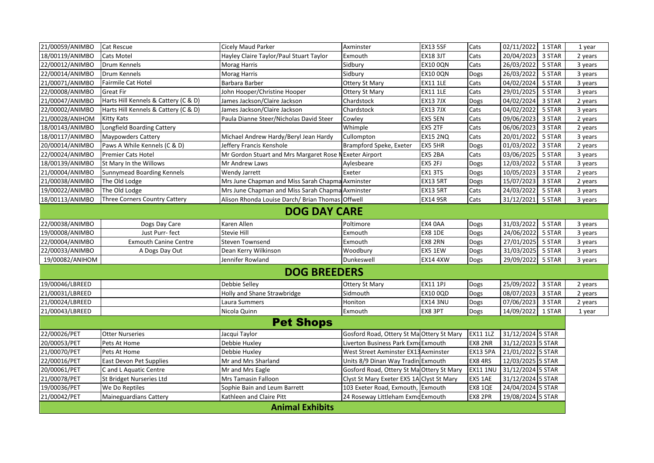| 21/00059/ANIMBO        | Cat Rescue                           | Cicely Maud Parker                                      | Axminster                                 | <b>EX13 5SF</b> | Cats            | 02/11/2022        | 1 STAR | 1 year  |  |  |
|------------------------|--------------------------------------|---------------------------------------------------------|-------------------------------------------|-----------------|-----------------|-------------------|--------|---------|--|--|
| 18/00119/ANIMBO        | Cats Motel                           | Hayley Claire Taylor/Paul Stuart Taylor                 | Exmouth                                   | <b>EX18 3JT</b> | Cats            | 20/04/2023        | 3 STAR | 2 years |  |  |
| 22/00012/ANIMBO        | Drum Kennels                         | Morag Harris                                            | Sidbury                                   | <b>EX10 0QN</b> | Cats            | 26/03/2022        | 5 STAR | 3 years |  |  |
| 22/00014/ANIMBO        | Drum Kennels                         | Morag Harris                                            | Sidbury                                   | <b>EX10 0QN</b> | Dogs            | 26/03/2022        | 5 STAR | 3 years |  |  |
| 21/00071/ANIMBO        | Fairmile Cat Hotel                   | Barbara Barber                                          | <b>Ottery St Mary</b>                     | <b>EX11 1LE</b> | Cats            | 04/02/2024        | 5 STAR | 3 years |  |  |
| 22/00008/ANIMBO        | Great Fir                            | John Hooper/Christine Hooper                            | <b>Ottery St Mary</b>                     | <b>EX11 1LE</b> | Cats            | 29/01/2025        | 5 STAR | 3 years |  |  |
| 21/00047/ANIMBO        | Harts Hill Kennels & Cattery (C & D) | James Jackson/Claire Jackson                            | Chardstock                                | <b>EX13 7JX</b> | Dogs            | 04/02/2024        | 3 STAR | 2 years |  |  |
| 22/00002/ANIMBO        | Harts Hill Kennels & Cattery (C & D) | James Jackson/Claire Jackson                            | Chardstock                                | <b>EX13 7JX</b> | Cats            | 04/02/2022        | 5 STAR | 3 years |  |  |
| 21/00028/ANIHOM        | Kitty Kats                           | Paula Dianne Steer/Nicholas David Steer                 | Cowley                                    | EX5 5EN         | Cats            | 09/06/2023        | 3 STAR | 2 years |  |  |
| 18/00143/ANIMBO        | Longfield Boarding Cattery           |                                                         | Whimple                                   | EX5 2TF         | Cats            | 06/06/2023        | 3 STAR | 2 years |  |  |
| 18/00117/ANIMBO        | <b>Maypowders Cattery</b>            | Michael Andrew Hardy/Beryl Jean Hardy                   | Cullompton                                | <b>EX15 2NQ</b> | Cats            | 20/01/2022        | 5 STAR | 3 years |  |  |
| 20/00014/ANIMBO        | Paws A While Kennels (C & D)         | Jeffery Francis Kenshole                                | Brampford Speke, Exeter                   | EX5 5HR         | Dogs            | 01/03/2022        | 3 STAR | 2 years |  |  |
| 22/00024/ANIMBO        | <b>Premier Cats Hotel</b>            | Mr Gordon Stuart and Mrs Margaret Rose N Exeter Airport |                                           | EX5 2BA         | Cats            | 03/06/2025        | 5 STAR | 3 years |  |  |
| 18/00139/ANIMBO        | St Mary In the Willows               | Mr Andrew Laws                                          | Aylesbeare                                | EX5 2FJ         | Dogs            | 12/03/2022        | 5 STAR | 3 years |  |  |
| 21/00004/ANIMBO        | Sunnymead Boarding Kennels           | Wendy Jarrett                                           | Exeter                                    | EX1 3TS         | Dogs            | 10/05/2023        | 3 STAR | 2 years |  |  |
| 21/00038/ANIMBO        | The Old Lodge                        | Mrs June Chapman and Miss Sarah Chapma Axminster        |                                           | <b>EX13 5RT</b> | Dogs            | 15/07/2023        | 3 STAR | 2 years |  |  |
| 19/00022/ANIMBO        | The Old Lodge                        | Mrs June Chapman and Miss Sarah Chapma Axminster        |                                           | <b>EX13 5RT</b> | Cats            | 24/03/2022        | 5 STAR | 3 years |  |  |
| 18/00113/ANIMBO        | Three Corners Country Cattery        | Alison Rhonda Louise Darch/ Brian Thomas Offwell        |                                           | <b>EX14 9SR</b> | Cats            | 31/12/2021        | 5 STAR | 3 years |  |  |
|                        |                                      | <b>DOG DAY CARE</b>                                     |                                           |                 |                 |                   |        |         |  |  |
| 22/00038/ANIMBO        | Dogs Day Care                        | Karen Allen                                             | Poltimore                                 | EX4 OAA         | Dogs            | 31/03/2022        | 5 STAR | 3 years |  |  |
| 19/00008/ANIMBO        | Just Purr-fect                       | Stevie Hill                                             | Exmouth                                   | EX8 1DE         | Dogs            | 24/06/2022        | 5 STAR | 3 years |  |  |
| 22/00004/ANIMBO        | <b>Exmouth Canine Centre</b>         | Steven Townsend                                         | Exmouth                                   | EX8 2RN         | Dogs            | 27/01/2025 5 STAR |        | 3 years |  |  |
| 22/00033/ANIMBO        | A Dogs Day Out                       | Dean Kerry Wilkinson                                    | Woodbury                                  | EX5 1EW         | Dogs            | 31/03/2025        | 5 STAR | 3 years |  |  |
| 19/00082/ANIHOM        |                                      | Jennifer Rowland                                        | Dunkeswell                                | <b>EX14 4XW</b> | Dogs            | 29/09/2022 5 STAR |        | 3 years |  |  |
| <b>DOG BREEDERS</b>    |                                      |                                                         |                                           |                 |                 |                   |        |         |  |  |
| 19/00046/LBREED        |                                      | Debbie Selley                                           | <b>Ottery St Mary</b>                     | <b>EX11 1PJ</b> | Dogs            | 25/09/2022        | 3 STAR | 2 years |  |  |
| 21/00031/LBREED        |                                      | Holly and Shane Strawbridge                             | Sidmouth                                  | EX10 0QD        | Dogs            | 08/07/2023        | 3 STAR | 2 years |  |  |
| 21/00024/LBREED        |                                      | Laura Summers                                           | Honiton                                   | <b>EX14 3NU</b> | Dogs            | 07/06/2023        | 3 STAR | 2 years |  |  |
| 21/00043/LBREED        |                                      | Nicola Quinn                                            | Exmouth                                   | EX8 3PT         | Dogs            | 14/09/2022 1 STAR |        | 1 year  |  |  |
| <b>Pet Shops</b>       |                                      |                                                         |                                           |                 |                 |                   |        |         |  |  |
| 22/00026/PET           | <b>Otter Nurseries</b>               | Jacqui Taylor                                           | Gosford Road, Ottery St Ma Ottery St Mary |                 | <b>EX11 1LZ</b> | 31/12/2024 5 STAR |        |         |  |  |
| 20/00053/PET           | Pets At Home                         | Debbie Huxley                                           | Liverton Business Park Exmd Exmouth       |                 | EX8 2NR         | 31/12/2023 5 STAR |        |         |  |  |
| 21/00070/PET           | Pets At Home                         | Debbie Huxley                                           | West Street Axminster EX13 Axminster      |                 | <b>EX13 5PA</b> | 21/01/2022 5 STAR |        |         |  |  |
| 22/00016/PET           | East Devon Pet Supplies              | Mr and Mrs Sharland                                     | Units 8/9 Dinan Way Tradin Exmouth        |                 | EX8 4RS         | 12/03/2025 5 STAR |        |         |  |  |
| 20/00061/PET           | C and L Aquatic Centre               | Mr and Mrs Eagle                                        | Gosford Road, Ottery St MalOttery St Mary |                 | <b>EX11 1NU</b> | 31/12/2024 5 STAR |        |         |  |  |
| 21/00078/PET           | St Bridget Nurseries Ltd             | Mrs Tamasin Falloon                                     | Clyst St Mary Exeter EX5 1A Clyst St Mary |                 | EX5 1AE         | 31/12/2024 5 STAR |        |         |  |  |
| 19/00036/PET           | We Do Reptiles                       | Sophie Bain and Leum Barrett                            | 103 Exeter Road, Exmouth, Exmouth         |                 | <b>EX8 1QE</b>  | 24/04/2024 5 STAR |        |         |  |  |
| 21/00042/PET           | <b>Maineguardians Cattery</b>        | Kathleen and Claire Pitt                                | 24 Roseway Littleham Exmd Exmouth         |                 | EX8 2PR         | 19/08/2024 5 STAR |        |         |  |  |
| <b>Animal Exhibits</b> |                                      |                                                         |                                           |                 |                 |                   |        |         |  |  |